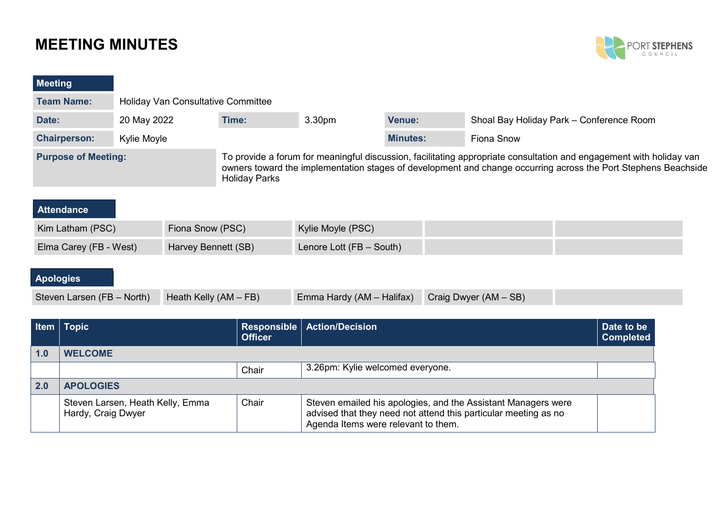# **MEETING MINUTES**



### **Meeting**

| <b>Team Name:</b>          | <b>Holiday Van Consultative Committee</b> |                                                                                                                                                                                                                                                               |                    |                 |                                          |  |
|----------------------------|-------------------------------------------|---------------------------------------------------------------------------------------------------------------------------------------------------------------------------------------------------------------------------------------------------------------|--------------------|-----------------|------------------------------------------|--|
| Date:                      | 20 May 2022                               | Time:                                                                                                                                                                                                                                                         | 3.30 <sub>pm</sub> | Venue:          | Shoal Bay Holiday Park - Conference Room |  |
| <b>Chairperson:</b>        | Kylie Moyle                               |                                                                                                                                                                                                                                                               |                    | <b>Minutes:</b> | Fiona Snow                               |  |
| <b>Purpose of Meeting:</b> |                                           | To provide a forum for meaningful discussion, facilitating appropriate consultation and engagement with holiday van<br>owners toward the implementation stages of development and change occurring across the Port Stephens Beachside<br><b>Holiday Parks</b> |                    |                 |                                          |  |

| Attendance             |                     |                          |  |
|------------------------|---------------------|--------------------------|--|
| Kim Latham (PSC)       | Fiona Snow (PSC)    | Kylie Moyle (PSC)        |  |
| Elma Carey (FB - West) | Harvey Bennett (SB) | Lenore Lott (FB - South) |  |

## **Apologies**

| Steven Larsen (FB - North) Heath Kelly (AM - FB) | Emma Hardy (AM - Halifax) Craig Dwyer (AM - SB) |  |
|--------------------------------------------------|-------------------------------------------------|--|
|                                                  |                                                 |  |

|     | <b>Item   Topic</b>                                    | <b>Officer</b> | Responsible   Action/Decision                                                                                                                                           | Date to be<br><b>Completed</b> |
|-----|--------------------------------------------------------|----------------|-------------------------------------------------------------------------------------------------------------------------------------------------------------------------|--------------------------------|
| 1.0 | <b>WELCOME</b>                                         |                |                                                                                                                                                                         |                                |
|     |                                                        | Chair          | 3.26pm: Kylie welcomed everyone.                                                                                                                                        |                                |
| 2.0 | <b>APOLOGIES</b>                                       |                |                                                                                                                                                                         |                                |
|     | Steven Larsen, Heath Kelly, Emma<br>Hardy, Craig Dwyer | Chair          | Steven emailed his apologies, and the Assistant Managers were<br>advised that they need not attend this particular meeting as no<br>Agenda Items were relevant to them. |                                |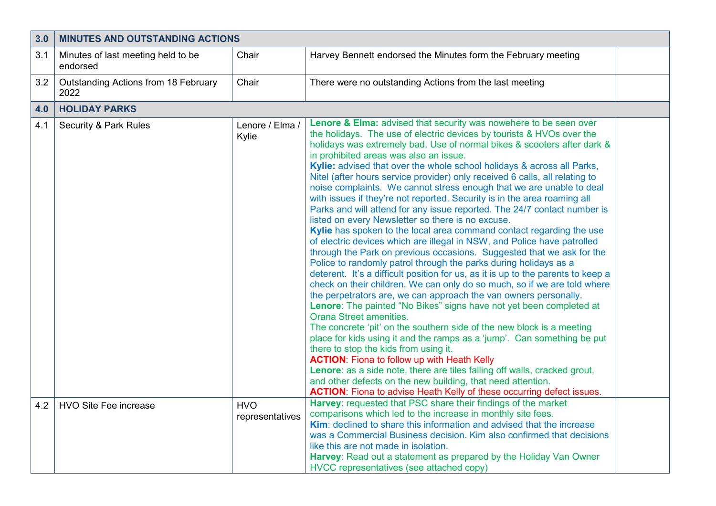| 3.0 | <b>MINUTES AND OUTSTANDING ACTIONS</b>         |                               |                                                                                                                                                                                                                                                                                                                                                                                                                                                                                                                                                                                                                                                                                                                                                                                                                                                                                                                                                                                                                                                                                                                                                                                                                                                                                                                                                                                                                                                                                                                                                                                                                                                                                                                                                                                                                                                      |  |
|-----|------------------------------------------------|-------------------------------|------------------------------------------------------------------------------------------------------------------------------------------------------------------------------------------------------------------------------------------------------------------------------------------------------------------------------------------------------------------------------------------------------------------------------------------------------------------------------------------------------------------------------------------------------------------------------------------------------------------------------------------------------------------------------------------------------------------------------------------------------------------------------------------------------------------------------------------------------------------------------------------------------------------------------------------------------------------------------------------------------------------------------------------------------------------------------------------------------------------------------------------------------------------------------------------------------------------------------------------------------------------------------------------------------------------------------------------------------------------------------------------------------------------------------------------------------------------------------------------------------------------------------------------------------------------------------------------------------------------------------------------------------------------------------------------------------------------------------------------------------------------------------------------------------------------------------------------------------|--|
| 3.1 | Minutes of last meeting held to be<br>endorsed | Chair                         | Harvey Bennett endorsed the Minutes form the February meeting                                                                                                                                                                                                                                                                                                                                                                                                                                                                                                                                                                                                                                                                                                                                                                                                                                                                                                                                                                                                                                                                                                                                                                                                                                                                                                                                                                                                                                                                                                                                                                                                                                                                                                                                                                                        |  |
| 3.2 | Outstanding Actions from 18 February<br>2022   | Chair                         | There were no outstanding Actions from the last meeting                                                                                                                                                                                                                                                                                                                                                                                                                                                                                                                                                                                                                                                                                                                                                                                                                                                                                                                                                                                                                                                                                                                                                                                                                                                                                                                                                                                                                                                                                                                                                                                                                                                                                                                                                                                              |  |
| 4.0 | <b>HOLIDAY PARKS</b>                           |                               |                                                                                                                                                                                                                                                                                                                                                                                                                                                                                                                                                                                                                                                                                                                                                                                                                                                                                                                                                                                                                                                                                                                                                                                                                                                                                                                                                                                                                                                                                                                                                                                                                                                                                                                                                                                                                                                      |  |
| 4.1 | <b>Security &amp; Park Rules</b>               | Lenore / Elma /<br>Kylie      | <b>Lenore &amp; Elma:</b> advised that security was nowehere to be seen over<br>the holidays. The use of electric devices by tourists & HVOs over the<br>holidays was extremely bad. Use of normal bikes & scooters after dark &<br>in prohibited areas was also an issue.<br>Kylie: advised that over the whole school holidays & across all Parks,<br>Nitel (after hours service provider) only received 6 calls, all relating to<br>noise complaints. We cannot stress enough that we are unable to deal<br>with issues if they're not reported. Security is in the area roaming all<br>Parks and will attend for any issue reported. The 24/7 contact number is<br>listed on every Newsletter so there is no excuse.<br>Kylie has spoken to the local area command contact regarding the use<br>of electric devices which are illegal in NSW, and Police have patrolled<br>through the Park on previous occasions. Suggested that we ask for the<br>Police to randomly patrol through the parks during holidays as a<br>deterent. It's a difficult position for us, as it is up to the parents to keep a<br>check on their children. We can only do so much, so if we are told where<br>the perpetrators are, we can approach the van owners personally.<br>Lenore: The painted "No Bikes" signs have not yet been completed at<br><b>Orana Street amenities.</b><br>The concrete 'pit' on the southern side of the new block is a meeting<br>place for kids using it and the ramps as a 'jump'. Can something be put<br>there to stop the kids from using it.<br><b>ACTION:</b> Fiona to follow up with Heath Kelly<br>Lenore: as a side note, there are tiles falling off walls, cracked grout,<br>and other defects on the new building, that need attention.<br><b>ACTION:</b> Fiona to advise Heath Kelly of these occurring defect issues. |  |
| 4.2 | <b>HVO Site Fee increase</b>                   | <b>HVO</b><br>representatives | Harvey: requested that PSC share their findings of the market<br>comparisons which led to the increase in monthly site fees.<br>Kim: declined to share this information and advised that the increase<br>was a Commercial Business decision. Kim also confirmed that decisions<br>like this are not made in isolation.<br>Harvey: Read out a statement as prepared by the Holiday Van Owner<br>HVCC representatives (see attached copy)                                                                                                                                                                                                                                                                                                                                                                                                                                                                                                                                                                                                                                                                                                                                                                                                                                                                                                                                                                                                                                                                                                                                                                                                                                                                                                                                                                                                              |  |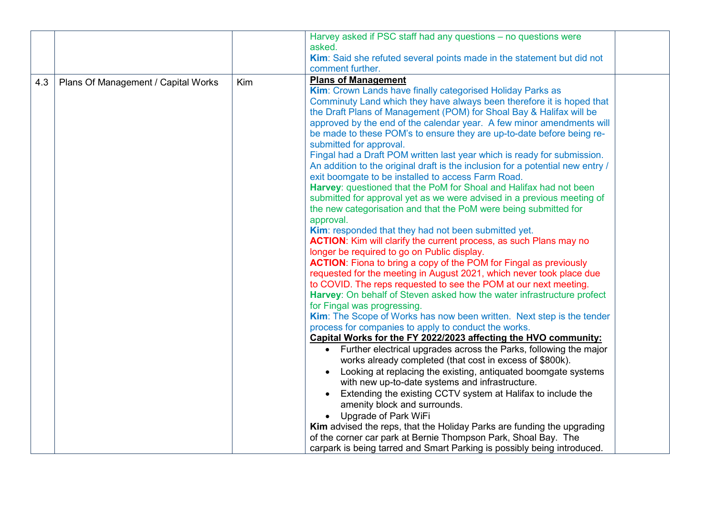|     |                                     |     | Harvey asked if PSC staff had any questions - no questions were<br>asked.<br>Kim: Said she refuted several points made in the statement but did not<br>comment further.                                                                                                                                                                                                                                                                                                                                                                                                                                                                                                                                                                                                                                                                                                                                                                                                                                                                                                                                                                                                                                                                                                                                                                                                                                                                                                                                                                                                                                                                                                                                                                                                                                                                                                                                                                                                                                                                                                                                                                                                                                                |
|-----|-------------------------------------|-----|------------------------------------------------------------------------------------------------------------------------------------------------------------------------------------------------------------------------------------------------------------------------------------------------------------------------------------------------------------------------------------------------------------------------------------------------------------------------------------------------------------------------------------------------------------------------------------------------------------------------------------------------------------------------------------------------------------------------------------------------------------------------------------------------------------------------------------------------------------------------------------------------------------------------------------------------------------------------------------------------------------------------------------------------------------------------------------------------------------------------------------------------------------------------------------------------------------------------------------------------------------------------------------------------------------------------------------------------------------------------------------------------------------------------------------------------------------------------------------------------------------------------------------------------------------------------------------------------------------------------------------------------------------------------------------------------------------------------------------------------------------------------------------------------------------------------------------------------------------------------------------------------------------------------------------------------------------------------------------------------------------------------------------------------------------------------------------------------------------------------------------------------------------------------------------------------------------------------|
| 4.3 | Plans Of Management / Capital Works | Kim | <b>Plans of Management</b><br>Kim: Crown Lands have finally categorised Holiday Parks as<br>Comminuty Land which they have always been therefore it is hoped that<br>the Draft Plans of Management (POM) for Shoal Bay & Halifax will be<br>approved by the end of the calendar year. A few minor amendments will<br>be made to these POM's to ensure they are up-to-date before being re-<br>submitted for approval.<br>Fingal had a Draft POM written last year which is ready for submission.<br>An addition to the original draft is the inclusion for a potential new entry /<br>exit boomgate to be installed to access Farm Road.<br>Harvey: questioned that the PoM for Shoal and Halifax had not been<br>submitted for approval yet as we were advised in a previous meeting of<br>the new categorisation and that the PoM were being submitted for<br>approval.<br>Kim: responded that they had not been submitted yet.<br><b>ACTION:</b> Kim will clarify the current process, as such Plans may no<br>longer be required to go on Public display.<br><b>ACTION:</b> Fiona to bring a copy of the POM for Fingal as previously<br>requested for the meeting in August 2021, which never took place due<br>to COVID. The reps requested to see the POM at our next meeting.<br>Harvey: On behalf of Steven asked how the water infrastructure profect<br>for Fingal was progressing.<br>Kim: The Scope of Works has now been written. Next step is the tender<br>process for companies to apply to conduct the works.<br>Capital Works for the FY 2022/2023 affecting the HVO community:<br>• Further electrical upgrades across the Parks, following the major<br>works already completed (that cost in excess of \$800k).<br>Looking at replacing the existing, antiquated boomgate systems<br>$\bullet$<br>with new up-to-date systems and infrastructure.<br>Extending the existing CCTV system at Halifax to include the<br>amenity block and surrounds.<br>Upgrade of Park WiFi<br>Kim advised the reps, that the Holiday Parks are funding the upgrading<br>of the corner car park at Bernie Thompson Park, Shoal Bay. The<br>carpark is being tarred and Smart Parking is possibly being introduced. |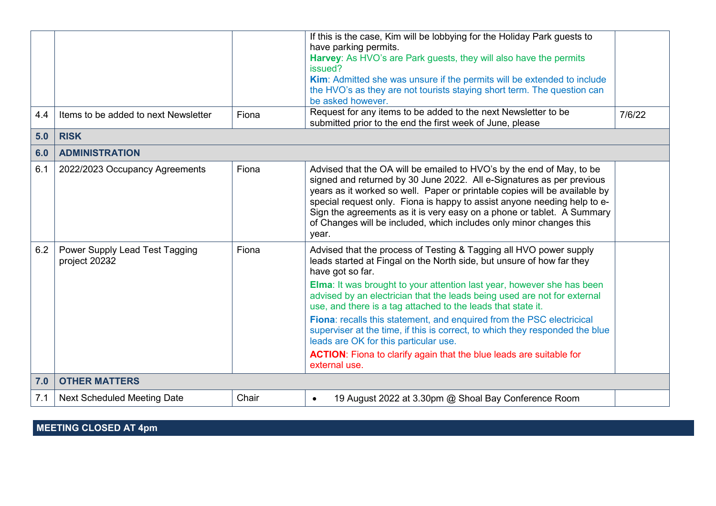|     |                                                 |       | If this is the case, Kim will be lobbying for the Holiday Park guests to<br>have parking permits.<br>Harvey: As HVO's are Park guests, they will also have the permits<br>issued?<br>Kim: Admitted she was unsure if the permits will be extended to include                                                                                                                                                                                                       |        |
|-----|-------------------------------------------------|-------|--------------------------------------------------------------------------------------------------------------------------------------------------------------------------------------------------------------------------------------------------------------------------------------------------------------------------------------------------------------------------------------------------------------------------------------------------------------------|--------|
|     |                                                 |       | the HVO's as they are not tourists staying short term. The question can<br>be asked however.                                                                                                                                                                                                                                                                                                                                                                       |        |
| 4.4 | Items to be added to next Newsletter            | Fiona | Request for any items to be added to the next Newsletter to be<br>submitted prior to the end the first week of June, please                                                                                                                                                                                                                                                                                                                                        | 7/6/22 |
| 5.0 | <b>RISK</b>                                     |       |                                                                                                                                                                                                                                                                                                                                                                                                                                                                    |        |
| 6.0 | <b>ADMINISTRATION</b>                           |       |                                                                                                                                                                                                                                                                                                                                                                                                                                                                    |        |
| 6.1 | 2022/2023 Occupancy Agreements                  | Fiona | Advised that the OA will be emailed to HVO's by the end of May, to be<br>signed and returned by 30 June 2022. All e-Signatures as per previous<br>years as it worked so well. Paper or printable copies will be available by<br>special request only. Fiona is happy to assist anyone needing help to e-<br>Sign the agreements as it is very easy on a phone or tablet. A Summary<br>of Changes will be included, which includes only minor changes this<br>year. |        |
| 6.2 | Power Supply Lead Test Tagging<br>project 20232 | Fiona | Advised that the process of Testing & Tagging all HVO power supply<br>leads started at Fingal on the North side, but unsure of how far they<br>have got so far.                                                                                                                                                                                                                                                                                                    |        |
|     |                                                 |       | <b>Elma:</b> It was brought to your attention last year, however she has been<br>advised by an electrician that the leads being used are not for external<br>use, and there is a tag attached to the leads that state it.                                                                                                                                                                                                                                          |        |
|     |                                                 |       | Fiona: recalls this statement, and enquired from the PSC electricical<br>superviser at the time, if this is correct, to which they responded the blue<br>leads are OK for this particular use.                                                                                                                                                                                                                                                                     |        |
|     |                                                 |       | <b>ACTION:</b> Fiona to clarify again that the blue leads are suitable for<br>external use.                                                                                                                                                                                                                                                                                                                                                                        |        |
| 7.0 | <b>OTHER MATTERS</b>                            |       |                                                                                                                                                                                                                                                                                                                                                                                                                                                                    |        |
| 7.1 | <b>Next Scheduled Meeting Date</b>              | Chair | 19 August 2022 at 3.30pm @ Shoal Bay Conference Room<br>$\bullet$                                                                                                                                                                                                                                                                                                                                                                                                  |        |

**MEETING CLOSED AT 4pm**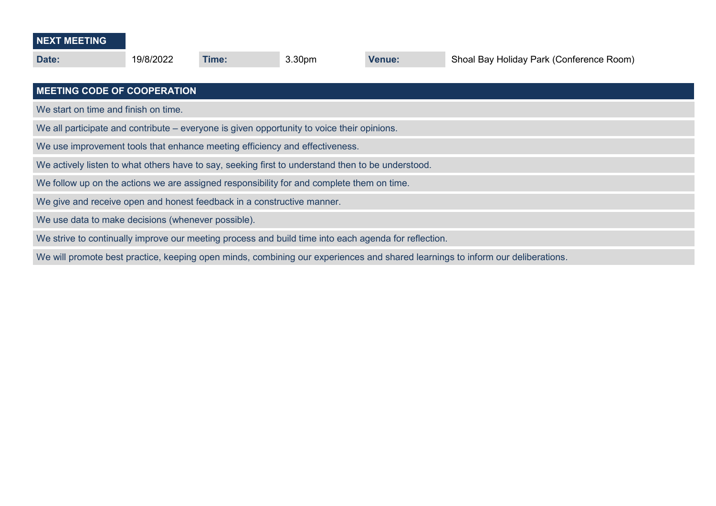| <b>NEXT MEETING</b> |  |  |
|---------------------|--|--|
|                     |  |  |

| Date:                                                                                                                          | 19/8/2022                                                                   | Time: | 3.30 <sub>pm</sub> | <b>Venue:</b> | Shoal Bay Holiday Park (Conference Room) |  |  |  |
|--------------------------------------------------------------------------------------------------------------------------------|-----------------------------------------------------------------------------|-------|--------------------|---------------|------------------------------------------|--|--|--|
| <b>MEETING CODE OF COOPERATION</b>                                                                                             |                                                                             |       |                    |               |                                          |  |  |  |
| We start on time and finish on time.                                                                                           |                                                                             |       |                    |               |                                          |  |  |  |
| We all participate and contribute – everyone is given opportunity to voice their opinions.                                     |                                                                             |       |                    |               |                                          |  |  |  |
|                                                                                                                                | We use improvement tools that enhance meeting efficiency and effectiveness. |       |                    |               |                                          |  |  |  |
| We actively listen to what others have to say, seeking first to understand then to be understood.                              |                                                                             |       |                    |               |                                          |  |  |  |
| We follow up on the actions we are assigned responsibility for and complete them on time.                                      |                                                                             |       |                    |               |                                          |  |  |  |
| We give and receive open and honest feedback in a constructive manner.                                                         |                                                                             |       |                    |               |                                          |  |  |  |
| We use data to make decisions (whenever possible).                                                                             |                                                                             |       |                    |               |                                          |  |  |  |
| We strive to continually improve our meeting process and build time into each agenda for reflection.                           |                                                                             |       |                    |               |                                          |  |  |  |
| We will promote best practice, keeping open minds, combining our experiences and shared learnings to inform our deliberations. |                                                                             |       |                    |               |                                          |  |  |  |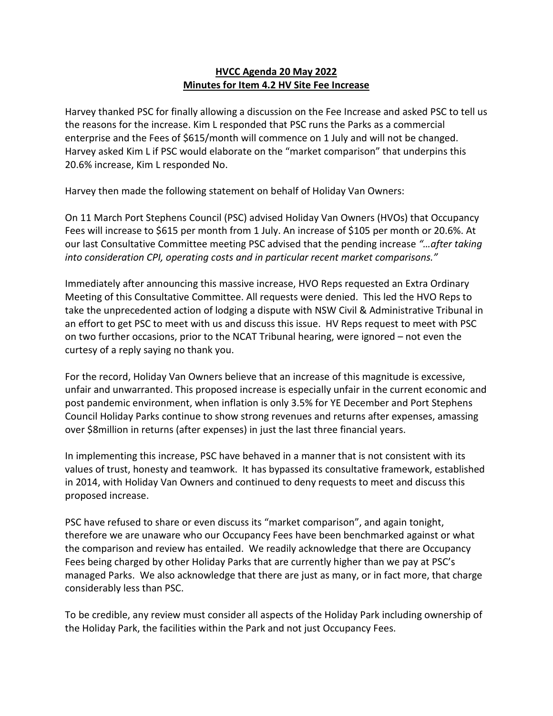### **HVCC Agenda 20 May 2022 Minutes for Item 4.2 HV Site Fee Increase**

Harvey thanked PSC for finally allowing a discussion on the Fee Increase and asked PSC to tell us the reasons for the increase. Kim L responded that PSC runs the Parks as a commercial enterprise and the Fees of \$615/month will commence on 1 July and will not be changed. Harvey asked Kim L if PSC would elaborate on the "market comparison" that underpins this 20.6% increase, Kim L responded No.

Harvey then made the following statement on behalf of Holiday Van Owners:

On 11 March Port Stephens Council (PSC) advised Holiday Van Owners (HVOs) that Occupancy Fees will increase to \$615 per month from 1 July. An increase of \$105 per month or 20.6%. At our last Consultative Committee meeting PSC advised that the pending increase *"…after taking into consideration CPI, operating costs and in particular recent market comparisons."*

Immediately after announcing this massive increase, HVO Reps requested an Extra Ordinary Meeting of this Consultative Committee. All requests were denied. This led the HVO Reps to take the unprecedented action of lodging a dispute with NSW Civil & Administrative Tribunal in an effort to get PSC to meet with us and discuss this issue. HV Reps request to meet with PSC on two further occasions, prior to the NCAT Tribunal hearing, were ignored – not even the curtesy of a reply saying no thank you.

For the record, Holiday Van Owners believe that an increase of this magnitude is excessive, unfair and unwarranted. This proposed increase is especially unfair in the current economic and post pandemic environment, when inflation is only 3.5% for YE December and Port Stephens Council Holiday Parks continue to show strong revenues and returns after expenses, amassing over \$8million in returns (after expenses) in just the last three financial years.

In implementing this increase, PSC have behaved in a manner that is not consistent with its values of trust, honesty and teamwork. It has bypassed its consultative framework, established in 2014, with Holiday Van Owners and continued to deny requests to meet and discuss this proposed increase.

PSC have refused to share or even discuss its "market comparison", and again tonight, therefore we are unaware who our Occupancy Fees have been benchmarked against or what the comparison and review has entailed. We readily acknowledge that there are Occupancy Fees being charged by other Holiday Parks that are currently higher than we pay at PSC's managed Parks. We also acknowledge that there are just as many, or in fact more, that charge considerably less than PSC.

To be credible, any review must consider all aspects of the Holiday Park including ownership of the Holiday Park, the facilities within the Park and not just Occupancy Fees.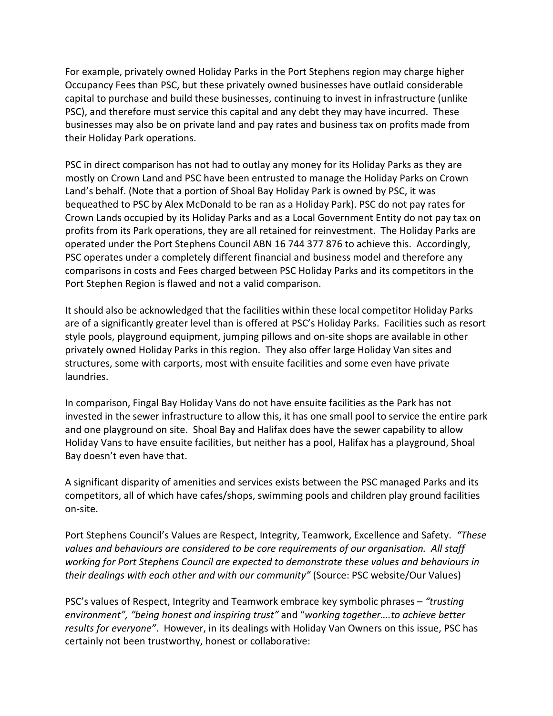For example, privately owned Holiday Parks in the Port Stephens region may charge higher Occupancy Fees than PSC, but these privately owned businesses have outlaid considerable capital to purchase and build these businesses, continuing to invest in infrastructure (unlike PSC), and therefore must service this capital and any debt they may have incurred. These businesses may also be on private land and pay rates and business tax on profits made from their Holiday Park operations.

PSC in direct comparison has not had to outlay any money for its Holiday Parks as they are mostly on Crown Land and PSC have been entrusted to manage the Holiday Parks on Crown Land's behalf. (Note that a portion of Shoal Bay Holiday Park is owned by PSC, it was bequeathed to PSC by Alex McDonald to be ran as a Holiday Park). PSC do not pay rates for Crown Lands occupied by its Holiday Parks and as a Local Government Entity do not pay tax on profits from its Park operations, they are all retained for reinvestment. The Holiday Parks are operated under the Port Stephens Council ABN 16 744 377 876 to achieve this. Accordingly, PSC operates under a completely different financial and business model and therefore any comparisons in costs and Fees charged between PSC Holiday Parks and its competitors in the Port Stephen Region is flawed and not a valid comparison.

It should also be acknowledged that the facilities within these local competitor Holiday Parks are of a significantly greater level than is offered at PSC's Holiday Parks. Facilities such as resort style pools, playground equipment, jumping pillows and on-site shops are available in other privately owned Holiday Parks in this region. They also offer large Holiday Van sites and structures, some with carports, most with ensuite facilities and some even have private laundries.

In comparison, Fingal Bay Holiday Vans do not have ensuite facilities as the Park has not invested in the sewer infrastructure to allow this, it has one small pool to service the entire park and one playground on site. Shoal Bay and Halifax does have the sewer capability to allow Holiday Vans to have ensuite facilities, but neither has a pool, Halifax has a playground, Shoal Bay doesn't even have that.

A significant disparity of amenities and services exists between the PSC managed Parks and its competitors, all of which have cafes/shops, swimming pools and children play ground facilities on-site.

Port Stephens Council's Values are Respect, Integrity, Teamwork, Excellence and Safety. *"These values and behaviours are considered to be core requirements of our organisation. All staff working for Port Stephens Council are expected to demonstrate these values and behaviours in their dealings with each other and with our community"* (Source: PSC website/Our Values)

PSC's values of Respect, Integrity and Teamwork embrace key symbolic phrases – *"trusting environment", "being honest and inspiring trust"* and "*working together….to achieve better results for everyone"*. However, in its dealings with Holiday Van Owners on this issue, PSC has certainly not been trustworthy, honest or collaborative: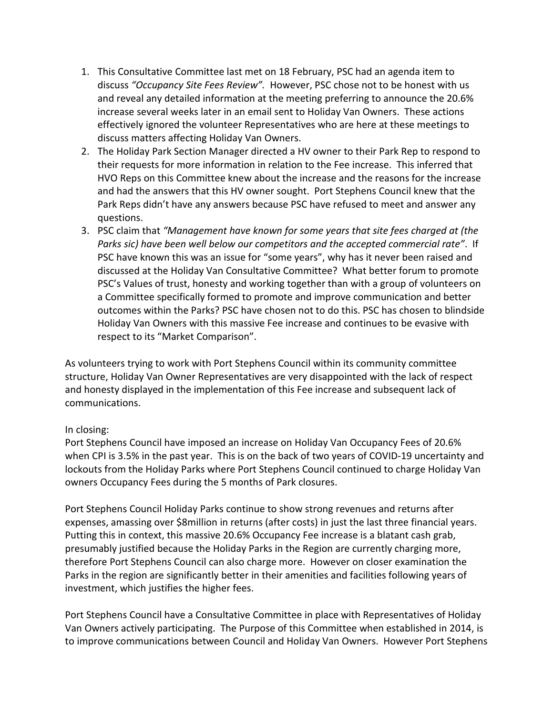- 1. This Consultative Committee last met on 18 February, PSC had an agenda item to discuss *"Occupancy Site Fees Review".* However, PSC chose not to be honest with us and reveal any detailed information at the meeting preferring to announce the 20.6% increase several weeks later in an email sent to Holiday Van Owners. These actions effectively ignored the volunteer Representatives who are here at these meetings to discuss matters affecting Holiday Van Owners.
- 2. The Holiday Park Section Manager directed a HV owner to their Park Rep to respond to their requests for more information in relation to the Fee increase. This inferred that HVO Reps on this Committee knew about the increase and the reasons for the increase and had the answers that this HV owner sought. Port Stephens Council knew that the Park Reps didn't have any answers because PSC have refused to meet and answer any questions.
- 3. PSC claim that *"Management have known for some years that site fees charged at (the Parks sic) have been well below our competitors and the accepted commercial rate"*. If PSC have known this was an issue for "some years", why has it never been raised and discussed at the Holiday Van Consultative Committee? What better forum to promote PSC's Values of trust, honesty and working together than with a group of volunteers on a Committee specifically formed to promote and improve communication and better outcomes within the Parks? PSC have chosen not to do this. PSC has chosen to blindside Holiday Van Owners with this massive Fee increase and continues to be evasive with respect to its "Market Comparison".

As volunteers trying to work with Port Stephens Council within its community committee structure, Holiday Van Owner Representatives are very disappointed with the lack of respect and honesty displayed in the implementation of this Fee increase and subsequent lack of communications.

#### In closing:

Port Stephens Council have imposed an increase on Holiday Van Occupancy Fees of 20.6% when CPI is 3.5% in the past year. This is on the back of two years of COVID-19 uncertainty and lockouts from the Holiday Parks where Port Stephens Council continued to charge Holiday Van owners Occupancy Fees during the 5 months of Park closures.

Port Stephens Council Holiday Parks continue to show strong revenues and returns after expenses, amassing over \$8million in returns (after costs) in just the last three financial years. Putting this in context, this massive 20.6% Occupancy Fee increase is a blatant cash grab, presumably justified because the Holiday Parks in the Region are currently charging more, therefore Port Stephens Council can also charge more. However on closer examination the Parks in the region are significantly better in their amenities and facilities following years of investment, which justifies the higher fees.

Port Stephens Council have a Consultative Committee in place with Representatives of Holiday Van Owners actively participating. The Purpose of this Committee when established in 2014, is to improve communications between Council and Holiday Van Owners. However Port Stephens